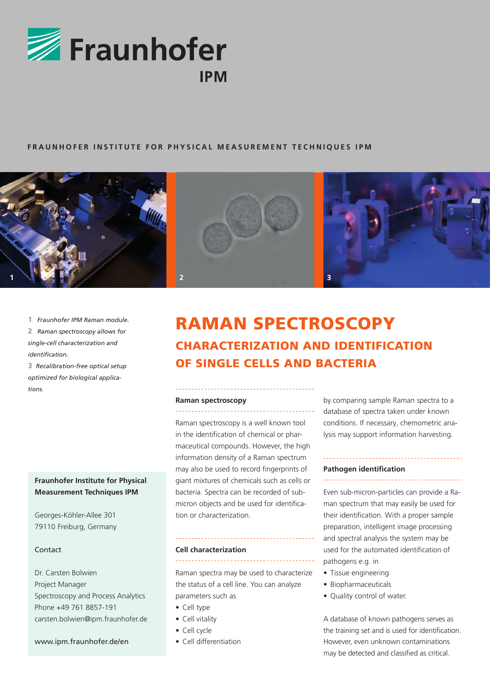

## **FRAUNHOFER INSTITUTE FOR PHYSICAL MEASUREMENT TECHNIQUES IPM**



**1** *Fraunhofer IPM Raman module.* **2** *Raman spectroscopy allows for single-cell characterization and identification.*

**3** *Recalibration-free optical setup optimized for biological applications.*

## **Fraunhofer Institute for Physical Measurement Techniques IPM**

Georges-Köhler-Allee 301 79110 Freiburg, Germany

## Contact

Dr. Carsten Bolwien Project Manager Spectroscopy and Process Analytics Phone +49 761 8857-191 carsten.bolwien@ipm.fraunhofer.de

## www.ipm.fraunhofer.de/en

# RAMAN SPECTROSCOPY CHARACTERIZATION AND IDENTIFICATION OF SINGLE CELLS AND BACTERIA

#### **Raman spectroscopy** \_\_\_\_\_\_\_\_\_\_\_\_\_\_\_\_\_\_\_\_

Raman spectroscopy is a well known tool in the identification of chemical or pharmaceutical compounds. However, the high information density of a Raman spectrum may also be used to record fingerprints of giant mixtures of chemicals such as cells or bacteria. Spectra can be recorded of submicron objects and be used for identification or characterization.

#### **Cell characterization**

Raman spectra may be used to characterize the status of a cell line. You can analyze parameters such as

- Cell type
- Cell vitality
- Cell cycle
- Cell differentiation

by comparing sample Raman spectra to a database of spectra taken under known conditions. If necessary, chemometric analysis may support information harvesting.

#### **Pathogen identification**

Even sub-micron-particles can provide a Raman spectrum that may easily be used for their identification. With a proper sample preparation, intelligent image processing and spectral analysis the system may be used for the automated identification of pathogens e.g. in

- Tissue engineering
- Biopharmaceuticals
- Quality control of water.

A database of known pathogens serves as the training set and is used for identification. However, even unknown contaminations may be detected and classified as critical.